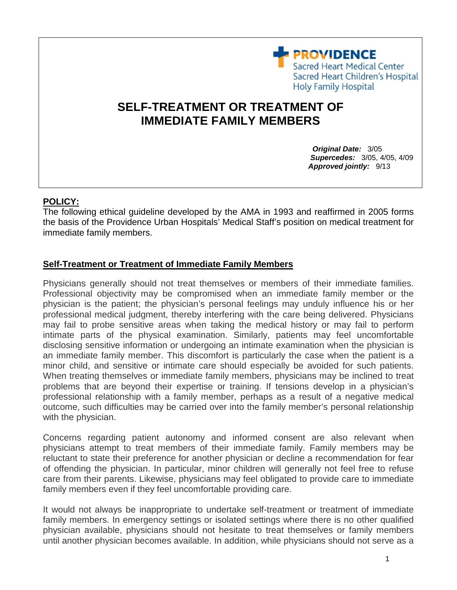**PROVIDENCE** Sacred Heart Medical Center Sacred Heart Children's Hospital **Holy Family Hospital** 

## **SELF-TREATMENT OR TREATMENT OF IMMEDIATE FAMILY MEMBERS**

 *Original Date:* 3/05  *Supercedes:* 3/05, 4/05, 4/09  *Approved jointly:* 9/13

## **POLICY:**

The following ethical guideline developed by the AMA in 1993 and reaffirmed in 2005 forms the basis of the Providence Urban Hospitals' Medical Staff's position on medical treatment for immediate family members.

## **Self-Treatment or Treatment of Immediate Family Members**

Physicians generally should not treat themselves or members of their immediate families. Professional objectivity may be compromised when an immediate family member or the physician is the patient; the physician's personal feelings may unduly influence his or her professional medical judgment, thereby interfering with the care being delivered. Physicians may fail to probe sensitive areas when taking the medical history or may fail to perform intimate parts of the physical examination. Similarly, patients may feel uncomfortable disclosing sensitive information or undergoing an intimate examination when the physician is an immediate family member. This discomfort is particularly the case when the patient is a minor child, and sensitive or intimate care should especially be avoided for such patients. When treating themselves or immediate family members, physicians may be inclined to treat problems that are beyond their expertise or training. If tensions develop in a physician's professional relationship with a family member, perhaps as a result of a negative medical outcome, such difficulties may be carried over into the family member's personal relationship with the physician.

Concerns regarding patient autonomy and informed consent are also relevant when physicians attempt to treat members of their immediate family. Family members may be reluctant to state their preference for another physician or decline a recommendation for fear of offending the physician. In particular, minor children will generally not feel free to refuse care from their parents. Likewise, physicians may feel obligated to provide care to immediate family members even if they feel uncomfortable providing care.

It would not always be inappropriate to undertake self-treatment or treatment of immediate family members. In emergency settings or isolated settings where there is no other qualified physician available, physicians should not hesitate to treat themselves or family members until another physician becomes available. In addition, while physicians should not serve as a